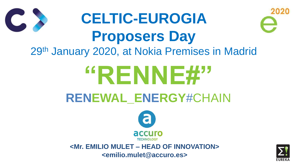# **CELTIC-EUROGIA Proposers Day** 29th January 2020, at Nokia Premises in Madrid **"RENNE#" RENEWAL\_ENERGY**#CHAIN





**<Mr. EMILIO MULET – HEAD OF INNOVATION> <emilio.mulet@accuro.es>**



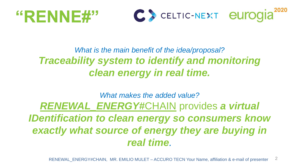# "RENNE#"



### *What is the main benefit of the idea/proposal? Traceability system to identify and monitoring clean energy in real time.*

2 RENEWAL\_ENERGY#CHAIN, MR. EMILIO MULET – ACCURO TECN Your Name, affiliation & e-mail of presenter



### *What makes the added value? RENEWAL\_ENERGY#*CHAIN provides *a virtual IDentification to clean energy so consumers know*  exactly what source of energy they are buying in *real time.*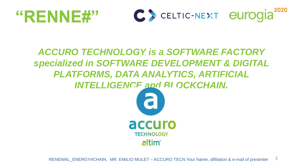3

# "RENNE#"



#### *ACCURO TECHNOLOGY is a SOFTWARE FACTORY specialized in SOFTWARE DEVELOPMENT & DIGITAL PLATFORMS, DATA ANALYTICS, ARTIFICIAL INTELLIGENCE and BLOCKCHAIN.*





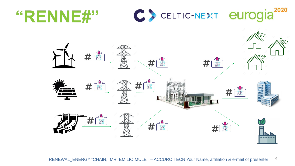# "RENNE#"











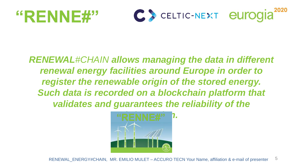5

# "RENNE#"



#### *RENEWAL#CHAIN allows managing the data in different renewal energy facilities around Europe in order to register the renewable origin of the stored energy. Such data is recorded on a blockchain platform that validates and guarantees the reliability of the*



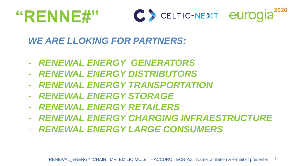6

# "RENNE#"



#### *WE ARE LLOKING FOR PARTNERS:*

- *RENEWAL ENERGY GENERATORS* - *RENEWAL ENERGY DISTRIBUTORS* - *RENEWAL ENERGY TRANSPORTATION*  - *RENEWAL ENERGY STORAGE*  - *RENEWAL ENERGY RETAILERS*
- *RENEWAL ENERGY LARGE CONSUMERS*

- *RENEWAL ENERGY CHARGING INFRAESTRUCTURE*

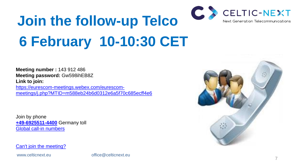# **Join the follow-up Telco 6 February 10-10:30 CET**

**Meeting number :** 143 912 486 **Meeting password:** Gw598ihEB8Z **Link to join:**

[https://eurescom-meetings.webex.com/eurescom](https://eurescom-meetings.webex.com/eurescom-meetings/j.php?MTID=m588eb24b6d0312e6a5f70c685ecff4e6)[meetings/j.php?MTID=m588eb24b6d0312e6a5f70c685ecff4e6](https://eurescom-meetings.webex.com/eurescom-meetings/j.php?MTID=m588eb24b6d0312e6a5f70c685ecff4e6)

Join by phone **[+49-6925511-4400](about:blank)** Germany toll [Global call-in numbers](https://eurescom.webex.com/eurescom/globalcallin.php?serviceType=MC&ED=697732507&tollFree=0)

[Can't join the meeting?](https://collaborationhelp.cisco.com/article/WBX000029055)

www.celticnext.eu office@celticnext.eu